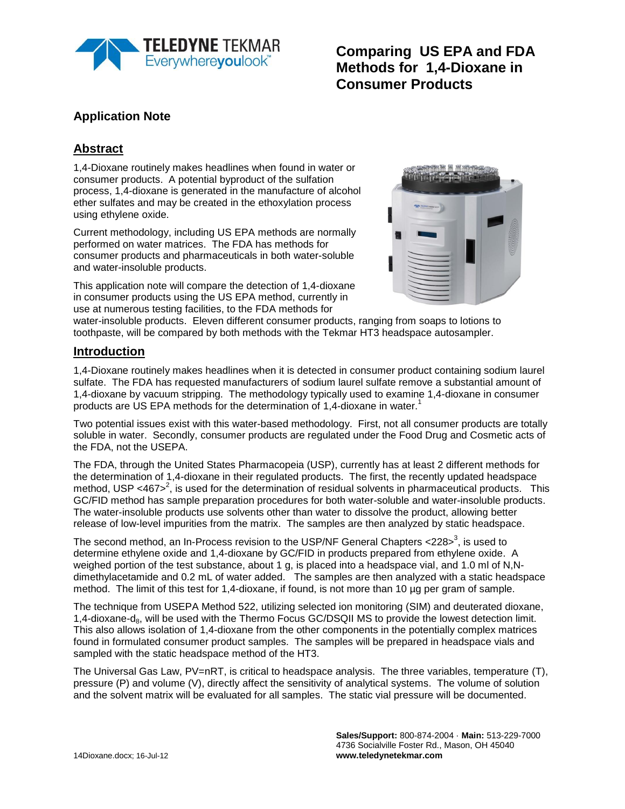

**Comparing US EPA and FDA Methods for 1,4-Dioxane in Consumer Products**

## **Application Note**

## **Abstract**

1,4-Dioxane routinely makes headlines when found in water or consumer products. A potential byproduct of the sulfation process, 1,4-dioxane is generated in the manufacture of alcohol ether sulfates and may be created in the ethoxylation process using ethylene oxide.

Current methodology, including US EPA methods are normally performed on water matrices. The FDA has methods for consumer products and pharmaceuticals in both water-soluble and water-insoluble products.

This application note will compare the detection of 1,4-dioxane in consumer products using the US EPA method, currently in use at numerous testing facilities, to the FDA methods for



water-insoluble products. Eleven different consumer products, ranging from soaps to lotions to toothpaste, will be compared by both methods with the Tekmar HT3 headspace autosampler.

#### **Introduction**

1,4-Dioxane routinely makes headlines when it is detected in consumer product containing sodium laurel sulfate. The FDA has requested manufacturers of sodium laurel sulfate remove a substantial amount of 1,4-dioxane by vacuum stripping. The methodology typically used to examine 1,4-dioxane in consumer products are US EPA methods for the determination of 1,4-dioxane in water.<sup>1</sup>

Two potential issues exist with this water-based methodology. First, not all consumer products are totally soluble in water. Secondly, consumer products are regulated under the Food Drug and Cosmetic acts of the FDA, not the USEPA.

The FDA, through the United States Pharmacopeia (USP), currently has at least 2 different methods for the determination of 1,4-dioxane in their regulated products. The first, the recently updated headspace method, USP <467><sup>2</sup>, is used for the determination of residual solvents in pharmaceutical products. This GC/FID method has sample preparation procedures for both water-soluble and water-insoluble products. The water-insoluble products use solvents other than water to dissolve the product, allowing better release of low-level impurities from the matrix. The samples are then analyzed by static headspace.

The second method, an In-Process revision to the USP/NF General Chapters <228> $^3$ , is used to determine ethylene oxide and 1,4-dioxane by GC/FID in products prepared from ethylene oxide. A weighed portion of the test substance, about 1 g, is placed into a headspace vial, and 1.0 ml of N,Ndimethylacetamide and 0.2 mL of water added. The samples are then analyzed with a static headspace method. The limit of this test for 1,4-dioxane, if found, is not more than 10 µg per gram of sample.

The technique from USEPA Method 522, utilizing selected ion monitoring (SIM) and deuterated dioxane, 1,4-dioxane-d<sub>8</sub>, will be used with the Thermo Focus GC/DSQII MS to provide the lowest detection limit. This also allows isolation of 1,4-dioxane from the other components in the potentially complex matrices found in formulated consumer product samples. The samples will be prepared in headspace vials and sampled with the static headspace method of the HT3.

The Universal Gas Law, PV=nRT, is critical to headspace analysis. The three variables, temperature (T), pressure (P) and volume (V), directly affect the sensitivity of analytical systems. The volume of solution and the solvent matrix will be evaluated for all samples. The static vial pressure will be documented.

> **Sales/Support:** 800-874-2004 · **Main:** 513-229-7000 4736 Socialville Foster Rd., Mason, OH 45040 **www.teledynetekmar.com**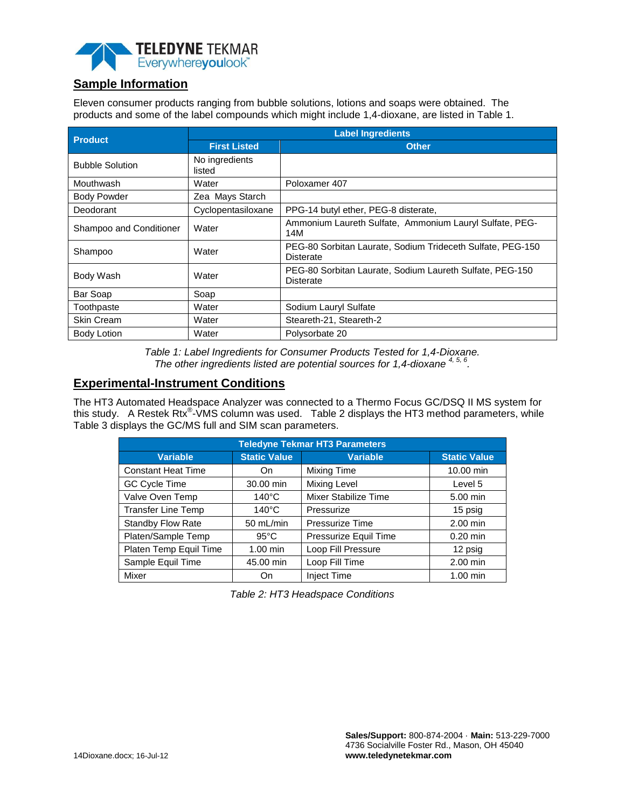

## **Sample Information**

Eleven consumer products ranging from bubble solutions, lotions and soaps were obtained. The products and some of the label compounds which might include 1,4-dioxane, are listed in Table 1.

| <b>Product</b>          | <b>Label Ingredients</b> |                                                                                |  |  |
|-------------------------|--------------------------|--------------------------------------------------------------------------------|--|--|
|                         | <b>First Listed</b>      | <b>Other</b>                                                                   |  |  |
| <b>Bubble Solution</b>  | No ingredients<br>listed |                                                                                |  |  |
| Mouthwash               | Water                    | Poloxamer 407                                                                  |  |  |
| <b>Body Powder</b>      | Zea Mays Starch          |                                                                                |  |  |
| Deodorant               | Cyclopentasiloxane       | PPG-14 butyl ether, PEG-8 disterate,                                           |  |  |
| Shampoo and Conditioner | Water                    | Ammonium Laureth Sulfate, Ammonium Lauryl Sulfate, PEG-<br>14M                 |  |  |
| Shampoo                 | Water                    | PEG-80 Sorbitan Laurate, Sodium Trideceth Sulfate, PEG-150<br><b>Disterate</b> |  |  |
| Body Wash               | Water                    | PEG-80 Sorbitan Laurate, Sodium Laureth Sulfate, PEG-150<br><b>Disterate</b>   |  |  |
| Bar Soap                | Soap                     |                                                                                |  |  |
| Toothpaste              | Water                    | Sodium Lauryl Sulfate                                                          |  |  |
| <b>Skin Cream</b>       | Water                    | Steareth-21, Steareth-2                                                        |  |  |
| <b>Body Lotion</b>      | Water                    | Polysorbate 20                                                                 |  |  |

*Table 1: Label Ingredients for Consumer Products Tested for 1,4-Dioxane. The other ingredients listed are potential sources for 1,4-dioxane 4, 5, 6 .*

#### **Experimental-Instrument Conditions**

The HT3 Automated Headspace Analyzer was connected to a Thermo Focus GC/DSQ II MS system for this study. A Restek Rtx<sup>®</sup>-VMS column was used. Table 2 displays the HT3 method parameters, while Table 3 displays the GC/MS full and SIM scan parameters.

| <b>Teledyne Tekmar HT3 Parameters</b> |                                        |                        |                     |  |  |
|---------------------------------------|----------------------------------------|------------------------|---------------------|--|--|
| <b>Variable</b>                       | <b>Static Value</b><br><b>Variable</b> |                        | <b>Static Value</b> |  |  |
| <b>Constant Heat Time</b>             | On                                     | Mixing Time            | 10.00 min           |  |  |
| GC Cycle Time                         | 30.00 min                              | Mixing Level           | Level 5             |  |  |
| Valve Oven Temp                       | $140^{\circ}$ C                        | Mixer Stabilize Time   | 5.00 min            |  |  |
| <b>Transfer Line Temp</b>             | $140^{\circ}$ C                        | Pressurize             | 15 psig             |  |  |
| Standby Flow Rate                     | 50 mL/min                              | <b>Pressurize Time</b> | 2.00 min            |  |  |
| Platen/Sample Temp                    | $95^{\circ}$ C                         | Pressurize Equil Time  | $0.20$ min          |  |  |
| Platen Temp Equil Time                | $1.00$ min                             | Loop Fill Pressure     | 12 psig             |  |  |
| Sample Equil Time                     | 45.00 min                              | Loop Fill Time         | 2.00 min            |  |  |
| Mixer                                 | On                                     | <b>Inject Time</b>     | $1.00$ min          |  |  |

*Table 2: HT3 Headspace Conditions*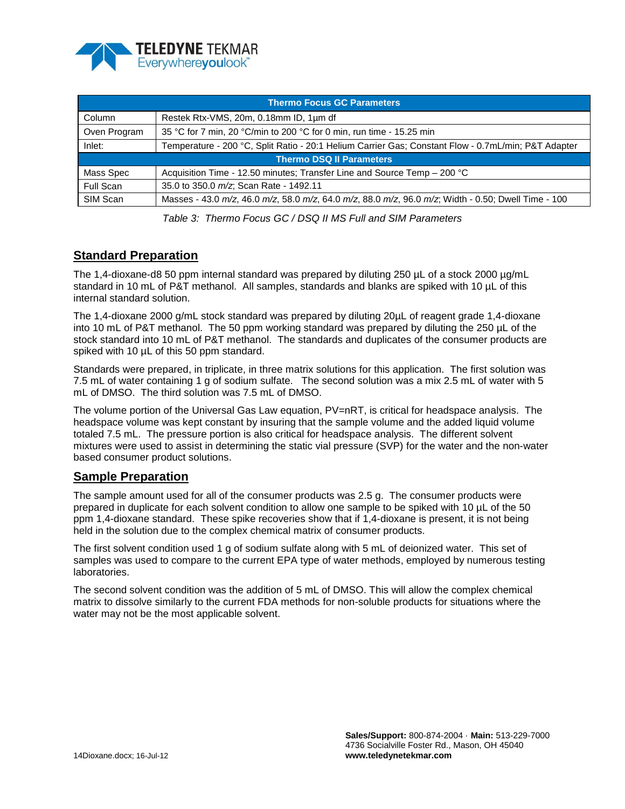

| <b>Thermo Focus GC Parameters</b> |                                                                                                     |  |  |
|-----------------------------------|-----------------------------------------------------------------------------------------------------|--|--|
| Column                            | Restek Rtx-VMS, 20m, 0.18mm ID, 1um df                                                              |  |  |
| Oven Program                      | 35 °C for 7 min, 20 °C/min to 200 °C for 0 min, run time - 15.25 min                                |  |  |
| Inlet:                            | Temperature - 200 °C, Split Ratio - 20:1 Helium Carrier Gas: Constant Flow - 0.7mL/min: P&T Adapter |  |  |
| Thermo DSQ II Parameters          |                                                                                                     |  |  |
| Mass Spec                         | Acquisition Time - 12.50 minutes; Transfer Line and Source Temp – 200 °C                            |  |  |
| Full Scan                         | 35.0 to 350.0 m/z, Scan Rate - 1492.11                                                              |  |  |
| SIM Scan                          | Masses - 43.0 m/z, 46.0 m/z, 58.0 m/z, 64.0 m/z, 88.0 m/z, 96.0 m/z, Width - 0.50; Dwell Time - 100 |  |  |

*Table 3: Thermo Focus GC / DSQ II MS Full and SIM Parameters* 

## **Standard Preparation**

The 1,4-dioxane-d8 50 ppm internal standard was prepared by diluting  $250 \mu$ L of a stock  $2000 \mu g/mL$ standard in 10 mL of P&T methanol. All samples, standards and blanks are spiked with 10 µL of this internal standard solution.

The 1,4-dioxane 2000 g/mL stock standard was prepared by diluting 20µL of reagent grade 1,4-dioxane into 10 mL of P&T methanol. The 50 ppm working standard was prepared by diluting the 250 µL of the stock standard into 10 mL of P&T methanol. The standards and duplicates of the consumer products are spiked with 10  $\mu$ L of this 50 ppm standard.

Standards were prepared, in triplicate, in three matrix solutions for this application. The first solution was 7.5 mL of water containing 1 g of sodium sulfate. The second solution was a mix 2.5 mL of water with 5 mL of DMSO. The third solution was 7.5 mL of DMSO.

The volume portion of the Universal Gas Law equation, PV=nRT, is critical for headspace analysis. The headspace volume was kept constant by insuring that the sample volume and the added liquid volume totaled 7.5 mL. The pressure portion is also critical for headspace analysis. The different solvent mixtures were used to assist in determining the static vial pressure (SVP) for the water and the non-water based consumer product solutions.

#### **Sample Preparation**

The sample amount used for all of the consumer products was 2.5 g. The consumer products were prepared in duplicate for each solvent condition to allow one sample to be spiked with 10 µL of the 50 ppm 1,4-dioxane standard. These spike recoveries show that if 1,4-dioxane is present, it is not being held in the solution due to the complex chemical matrix of consumer products.

The first solvent condition used 1 g of sodium sulfate along with 5 mL of deionized water. This set of samples was used to compare to the current EPA type of water methods, employed by numerous testing laboratories.

The second solvent condition was the addition of 5 mL of DMSO. This will allow the complex chemical matrix to dissolve similarly to the current FDA methods for non-soluble products for situations where the water may not be the most applicable solvent.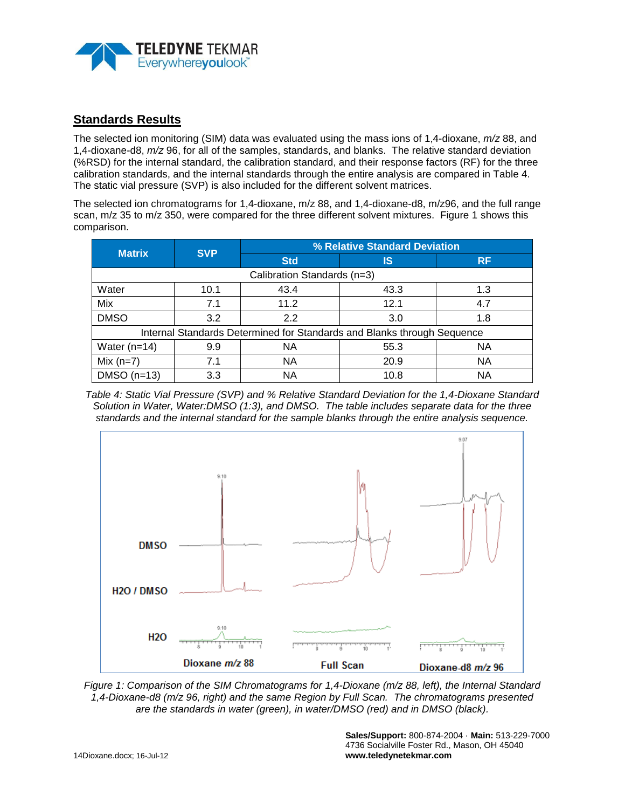

### **Standards Results**

The selected ion monitoring (SIM) data was evaluated using the mass ions of 1,4-dioxane, *m/z* 88, and 1,4-dioxane-d8, *m/z* 96, for all of the samples, standards, and blanks. The relative standard deviation (%RSD) for the internal standard, the calibration standard, and their response factors (RF) for the three calibration standards, and the internal standards through the entire analysis are compared in Table 4. The static vial pressure (SVP) is also included for the different solvent matrices.

The selected ion chromatograms for 1,4-dioxane, m/z 88, and 1,4-dioxane-d8, m/z96, and the full range scan, m/z 35 to m/z 350, were compared for the three different solvent mixtures. Figure 1 shows this comparison.

| <b>Matrix</b>                                                           | <b>SVP</b> | % Relative Standard Deviation |      |           |  |  |
|-------------------------------------------------------------------------|------------|-------------------------------|------|-----------|--|--|
|                                                                         |            | <b>Std</b>                    | IS   | <b>RF</b> |  |  |
| Calibration Standards (n=3)                                             |            |                               |      |           |  |  |
| Water                                                                   | 10.1       | 43.4                          | 43.3 | 1.3       |  |  |
| Mix                                                                     | 7.1        | 11.2                          | 12.1 | 4.7       |  |  |
| <b>DMSO</b>                                                             | 3.2        | 2.2                           | 3.0  | 1.8       |  |  |
| Internal Standards Determined for Standards and Blanks through Sequence |            |                               |      |           |  |  |
| Water $(n=14)$                                                          | 9.9        | NА                            | 55.3 | NA        |  |  |
| Mix $(n=7)$                                                             | 7.1        | <b>NA</b>                     | 20.9 | <b>NA</b> |  |  |
| $DMSO(n=13)$                                                            | 3.3        | <b>NA</b>                     | 10.8 | ΝA        |  |  |

*Table 4: Static Vial Pressure (SVP) and % Relative Standard Deviation for the 1,4-Dioxane Standard Solution in Water, Water:DMSO (1:3), and DMSO. The table includes separate data for the three standards and the internal standard for the sample blanks through the entire analysis sequence.*



*Figure 1: Comparison of the SIM Chromatograms for 1,4-Dioxane (m/z 88, left), the Internal Standard 1,4-Dioxane-d8 (m/z 96, right) and the same Region by Full Scan. The chromatograms presented are the standards in water (green), in water/DMSO (red) and in DMSO (black).*

**Sales/Support:** 800-874-2004 · **Main:** 513-229-7000 4736 Socialville Foster Rd., Mason, OH 45040 **www.teledynetekmar.com**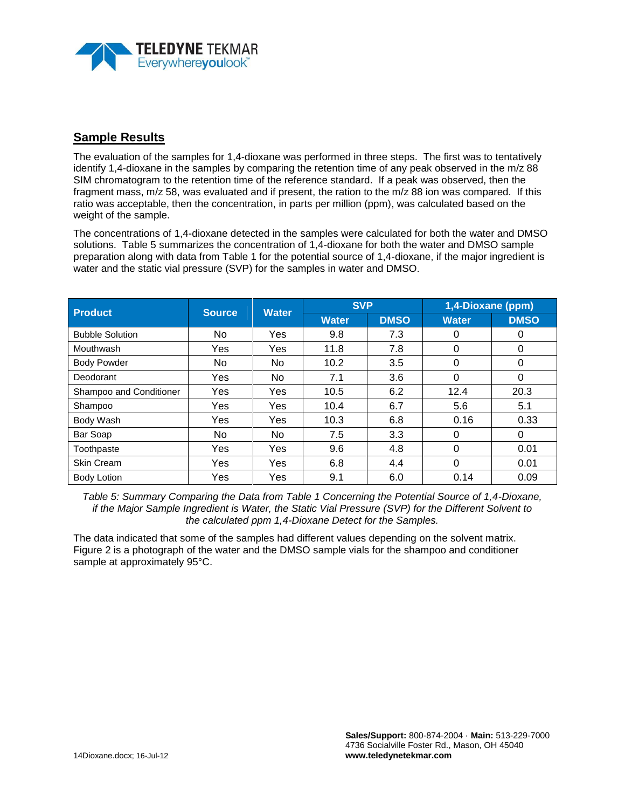

#### **Sample Results**

The evaluation of the samples for 1,4-dioxane was performed in three steps. The first was to tentatively identify 1,4-dioxane in the samples by comparing the retention time of any peak observed in the m/z 88 SIM chromatogram to the retention time of the reference standard. If a peak was observed, then the fragment mass, m/z 58, was evaluated and if present, the ration to the m/z 88 ion was compared. If this ratio was acceptable, then the concentration, in parts per million (ppm), was calculated based on the weight of the sample.

The concentrations of 1,4-dioxane detected in the samples were calculated for both the water and DMSO solutions. Table 5 summarizes the concentration of 1,4-dioxane for both the water and DMSO sample preparation along with data from Table 1 for the potential source of 1,4-dioxane, if the major ingredient is water and the static vial pressure (SVP) for the samples in water and DMSO.

| <b>Product</b>          | <b>Source</b> | <b>Water</b> | <b>SVP</b>   |             | 1,4-Dioxane (ppm) |             |
|-------------------------|---------------|--------------|--------------|-------------|-------------------|-------------|
|                         |               |              | <b>Water</b> | <b>DMSO</b> | <b>Water</b>      | <b>DMSO</b> |
| <b>Bubble Solution</b>  | No            | Yes          | 9.8          | 7.3         | 0                 | 0           |
| Mouthwash               | Yes           | Yes          | 11.8         | 7.8         | $\Omega$          | 0           |
| <b>Body Powder</b>      | No            | No.          | 10.2         | 3.5         | 0                 | 0           |
| Deodorant               | Yes           | No.          | 7.1          | 3.6         | $\Omega$          | 0           |
| Shampoo and Conditioner | Yes           | Yes          | 10.5         | 6.2         | 12.4              | 20.3        |
| Shampoo                 | Yes           | Yes          | 10.4         | 6.7         | 5.6               | 5.1         |
| Body Wash               | Yes           | Yes          | 10.3         | 6.8         | 0.16              | 0.33        |
| Bar Soap                | No            | No           | 7.5          | 3.3         | 0                 | 0           |
| Toothpaste              | Yes           | Yes          | 9.6          | 4.8         | $\Omega$          | 0.01        |
| Skin Cream              | Yes           | Yes          | 6.8          | 4.4         | $\Omega$          | 0.01        |
| <b>Body Lotion</b>      | Yes           | Yes          | 9.1          | 6.0         | 0.14              | 0.09        |

*Table 5: Summary Comparing the Data from Table 1 Concerning the Potential Source of 1,4-Dioxane, if the Major Sample Ingredient is Water, the Static Vial Pressure (SVP) for the Different Solvent to the calculated ppm 1,4-Dioxane Detect for the Samples.*

The data indicated that some of the samples had different values depending on the solvent matrix. Figure 2 is a photograph of the water and the DMSO sample vials for the shampoo and conditioner sample at approximately 95°C.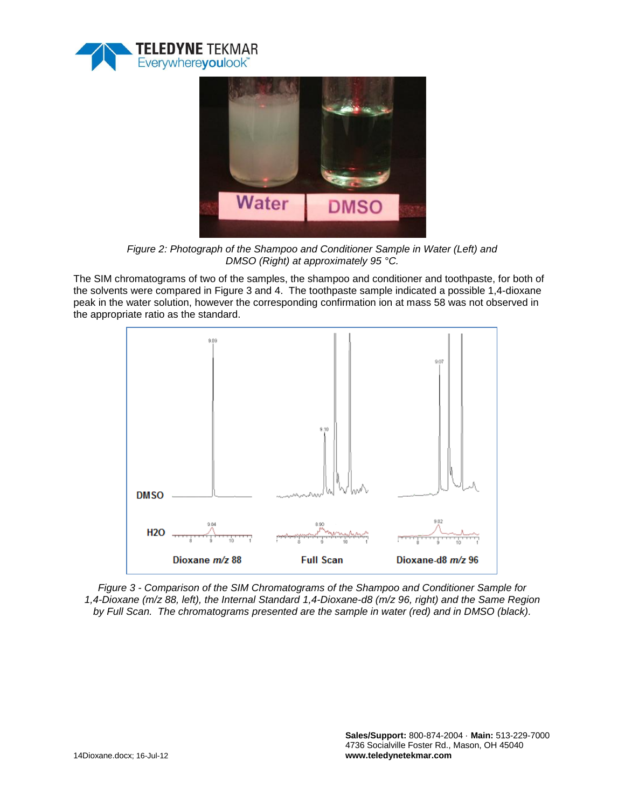



*Figure 2: Photograph of the Shampoo and Conditioner Sample in Water (Left) and DMSO (Right) at approximately 95 °C.*

The SIM chromatograms of two of the samples, the shampoo and conditioner and toothpaste, for both of the solvents were compared in Figure 3 and 4. The toothpaste sample indicated a possible 1,4-dioxane peak in the water solution, however the corresponding confirmation ion at mass 58 was not observed in the appropriate ratio as the standard.



*Figure 3 - Comparison of the SIM Chromatograms of the Shampoo and Conditioner Sample for 1,4-Dioxane (m/z 88, left), the Internal Standard 1,4-Dioxane-d8 (m/z 96, right) and the Same Region by Full Scan. The chromatograms presented are the sample in water (red) and in DMSO (black).*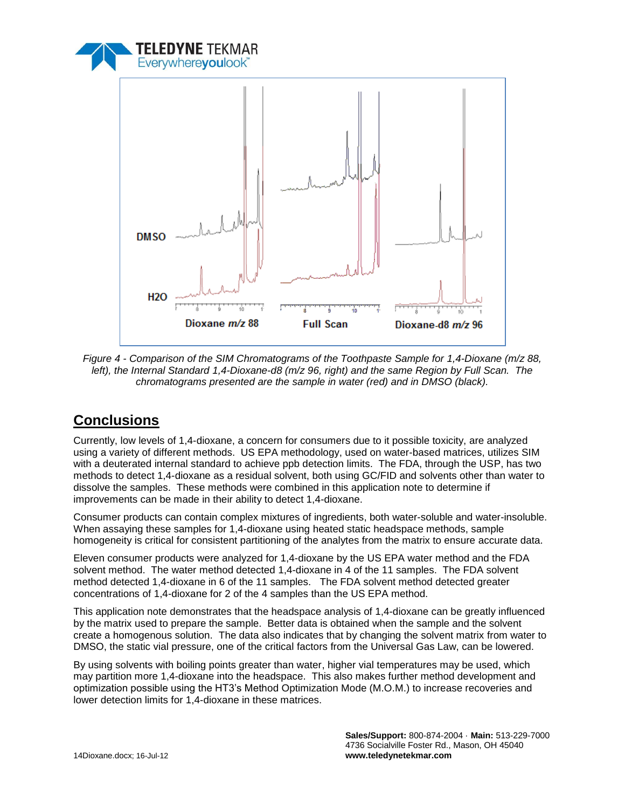



*Figure 4 - Comparison of the SIM Chromatograms of the Toothpaste Sample for 1,4-Dioxane (m/z 88, left), the Internal Standard 1,4-Dioxane-d8 (m/z 96, right) and the same Region by Full Scan. The chromatograms presented are the sample in water (red) and in DMSO (black).*

# **Conclusions**

Currently, low levels of 1,4-dioxane, a concern for consumers due to it possible toxicity, are analyzed using a variety of different methods. US EPA methodology, used on water-based matrices, utilizes SIM with a deuterated internal standard to achieve ppb detection limits. The FDA, through the USP, has two methods to detect 1,4-dioxane as a residual solvent, both using GC/FID and solvents other than water to dissolve the samples. These methods were combined in this application note to determine if improvements can be made in their ability to detect 1,4-dioxane.

Consumer products can contain complex mixtures of ingredients, both water-soluble and water-insoluble. When assaying these samples for 1,4-dioxane using heated static headspace methods, sample homogeneity is critical for consistent partitioning of the analytes from the matrix to ensure accurate data.

Eleven consumer products were analyzed for 1,4-dioxane by the US EPA water method and the FDA solvent method. The water method detected 1,4-dioxane in 4 of the 11 samples. The FDA solvent method detected 1,4-dioxane in 6 of the 11 samples. The FDA solvent method detected greater concentrations of 1,4-dioxane for 2 of the 4 samples than the US EPA method.

This application note demonstrates that the headspace analysis of 1,4-dioxane can be greatly influenced by the matrix used to prepare the sample. Better data is obtained when the sample and the solvent create a homogenous solution. The data also indicates that by changing the solvent matrix from water to DMSO, the static vial pressure, one of the critical factors from the Universal Gas Law, can be lowered.

By using solvents with boiling points greater than water, higher vial temperatures may be used, which may partition more 1,4-dioxane into the headspace. This also makes further method development and optimization possible using the HT3's Method Optimization Mode (M.O.M.) to increase recoveries and lower detection limits for 1,4-dioxane in these matrices.